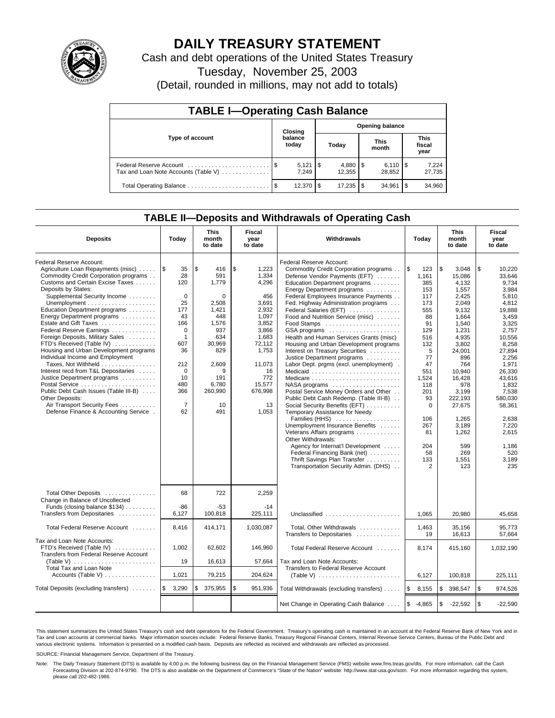

# **DAILY TREASURY STATEMENT**

Cash and debt operations of the United States Treasury

Tuesday, November 25, 2003

(Detail, rounded in millions, may not add to totals)

| <b>TABLE I-Operating Cash Balance</b>                           |         |                      |  |                        |  |                              |      |                               |  |  |
|-----------------------------------------------------------------|---------|----------------------|--|------------------------|--|------------------------------|------|-------------------------------|--|--|
|                                                                 | Closing |                      |  | <b>Opening balance</b> |  |                              |      |                               |  |  |
| Type of account                                                 |         | balance<br>today     |  | Today                  |  | <b>This</b><br>month         |      | <b>This</b><br>fiscal<br>year |  |  |
| Federal Reserve Account<br>Tax and Loan Note Accounts (Table V) |         | $5,121$ \\$<br>7.249 |  | $4,880$ \ \$<br>12,355 |  | $6,110$ $\sqrt{5}$<br>28,852 |      | 7,224<br>27,735               |  |  |
|                                                                 |         | 12.370               |  | $17,235$ \\$           |  | 34.961                       | l \$ | 34,960                        |  |  |

## **TABLE II—Deposits and Withdrawals of Operating Cash**

| <b>Deposits</b>                                                                                                                                                                                                                                                                                                                                                                                                                                                                                                                                                                                                                                                                                                                                                                     | Today                                                                                                                                                                         | <b>This</b><br>month<br>to date                                                                                                                              | Fiscal<br>Withdrawals<br>Today<br>year<br>to date                                                                                                                        |                                                                                                                                                                                                                                                                                                                                                                                                                                                                                                                                                                                                                                                                                                                                                                                                                                                                                                                                                                                                                                |                                                                                                                                                                                                       | <b>This</b><br>month<br>to date                                                                                                                                                                                                                           | Fiscal<br>year<br>to date                                                                                                                                                                                                                                            |
|-------------------------------------------------------------------------------------------------------------------------------------------------------------------------------------------------------------------------------------------------------------------------------------------------------------------------------------------------------------------------------------------------------------------------------------------------------------------------------------------------------------------------------------------------------------------------------------------------------------------------------------------------------------------------------------------------------------------------------------------------------------------------------------|-------------------------------------------------------------------------------------------------------------------------------------------------------------------------------|--------------------------------------------------------------------------------------------------------------------------------------------------------------|--------------------------------------------------------------------------------------------------------------------------------------------------------------------------|--------------------------------------------------------------------------------------------------------------------------------------------------------------------------------------------------------------------------------------------------------------------------------------------------------------------------------------------------------------------------------------------------------------------------------------------------------------------------------------------------------------------------------------------------------------------------------------------------------------------------------------------------------------------------------------------------------------------------------------------------------------------------------------------------------------------------------------------------------------------------------------------------------------------------------------------------------------------------------------------------------------------------------|-------------------------------------------------------------------------------------------------------------------------------------------------------------------------------------------------------|-----------------------------------------------------------------------------------------------------------------------------------------------------------------------------------------------------------------------------------------------------------|----------------------------------------------------------------------------------------------------------------------------------------------------------------------------------------------------------------------------------------------------------------------|
| Federal Reserve Account:<br>Agriculture Loan Repayments (misc)<br>Commodity Credit Corporation programs<br>Customs and Certain Excise Taxes<br>Deposits by States:<br>Supplemental Security Income<br>Unemployment $\dots\dots\dots\dots\dots\dots\dots\dots$<br>Education Department programs<br>Energy Department programs<br>Estate and Gift Taxes<br>Federal Reserve Earnings<br>Foreign Deposits, Military Sales<br>FTD's Received (Table IV)<br>Housing and Urban Development programs<br>Individual Income and Employment<br>Taxes, Not Withheld<br>Interest recd from T&L Depositaries<br>Justice Department programs<br>Postal Service<br>Public Debt Cash Issues (Table III-B)<br>Other Deposits:<br>Air Transport Security Fees<br>Defense Finance & Accounting Service. | 1\$<br>35<br>28<br>120<br>$\mathbf 0$<br>25<br>177<br>43<br>166<br>$\mathbf 0$<br>$\mathbf{1}$<br>607<br>36<br>212<br>$\mathbf 0$<br>10<br>480<br>366<br>$\overline{7}$<br>62 | \$<br>416<br>591<br>1,779<br>$\Omega$<br>2,508<br>1,421<br>448<br>1,576<br>937<br>634<br>30,969<br>829<br>2,609<br>9<br>191<br>6,780<br>260,990<br>10<br>491 | \$<br>1,223<br>1,334<br>4,296<br>456<br>3,691<br>2,932<br>1,097<br>3,852<br>3,866<br>1,683<br>72,112<br>1,753<br>11,073<br>16<br>772<br>15,577<br>676,998<br>13<br>1,053 | Federal Reserve Account:<br>Commodity Credit Corporation programs<br>Defense Vendor Payments (EFT)<br>Education Department programs<br>Energy Department programs<br>Federal Employees Insurance Payments<br>Fed. Highway Administration programs<br>Federal Salaries (EFT)<br>Food and Nutrition Service (misc)<br>GSA programs<br>Health and Human Services Grants (misc)<br>Housing and Urban Development programs<br>Interest on Treasury Securities<br>Justice Department programs<br>Labor Dept. prgms (excl. unemployment).<br>Medicaid<br>Medicare<br>$NASA$ programs $\ldots \ldots \ldots \ldots \ldots$<br>Postal Service Money Orders and Other<br>Public Debt Cash Redemp. (Table III-B)<br>Social Security Benefits (EFT)<br>Temporary Assistance for Needy<br>Families (HHS)<br>Unemployment Insurance Benefits<br>Veterans Affairs programs<br>Other Withdrawals:<br>Agency for Internat'l Development<br>Federal Financing Bank (net)<br>Thrift Savings Plan Transfer<br>Transportation Security Admin. (DHS) | ۱\$<br>123<br>1.161<br>385<br>153<br>117<br>173<br>555<br>88<br>91<br>129<br>516<br>132<br>5<br>77<br>47<br>551<br>1,524<br>118<br>201<br>93<br>$\Omega$<br>106<br>267<br>81<br>204<br>58<br>133<br>2 | \$<br>3,048<br>15.086<br>4.132<br>1,557<br>2,425<br>2,049<br>9,132<br>1.664<br>1.540<br>1,231<br>4,935<br>3,802<br>24,001<br>896<br>764<br>10.940<br>16,428<br>978<br>3,199<br>222.193<br>27,675<br>1.265<br>3,189<br>1,262<br>599<br>269<br>1,551<br>123 | \$<br>10,220<br>33.646<br>9.734<br>3,984<br>5,810<br>4,812<br>19,888<br>3,459<br>3.325<br>2.757<br>10,556<br>8,258<br>27,894<br>2,256<br>1,971<br>26.330<br>43.616<br>1,832<br>7,538<br>580,030<br>58,361<br>2.638<br>7,220<br>2,615<br>1.186<br>520<br>3,189<br>235 |
| Total Other Deposits<br>Change in Balance of Uncollected<br>Funds (closing balance $$134$ )<br>Transfers from Depositaries                                                                                                                                                                                                                                                                                                                                                                                                                                                                                                                                                                                                                                                          | 68<br>$-86$<br>6,127                                                                                                                                                          | 722<br>$-53$<br>100,818                                                                                                                                      | 2,259<br>$-14$<br>225,111                                                                                                                                                | Unclassified                                                                                                                                                                                                                                                                                                                                                                                                                                                                                                                                                                                                                                                                                                                                                                                                                                                                                                                                                                                                                   | 1,065                                                                                                                                                                                                 | 20,980                                                                                                                                                                                                                                                    | 45,658                                                                                                                                                                                                                                                               |
| Total Federal Reserve Account                                                                                                                                                                                                                                                                                                                                                                                                                                                                                                                                                                                                                                                                                                                                                       | 8,416                                                                                                                                                                         | 414,171                                                                                                                                                      | 1,030,087                                                                                                                                                                | Total, Other Withdrawals                                                                                                                                                                                                                                                                                                                                                                                                                                                                                                                                                                                                                                                                                                                                                                                                                                                                                                                                                                                                       | 1,463                                                                                                                                                                                                 | 35,156                                                                                                                                                                                                                                                    | 95.773                                                                                                                                                                                                                                                               |
| Tax and Loan Note Accounts:<br>FTD's Received (Table IV)<br>Transfers from Federal Reserve Account<br>(Table V) $\ldots \ldots \ldots \ldots \ldots \ldots \ldots$<br><b>Total Tax and Loan Note</b>                                                                                                                                                                                                                                                                                                                                                                                                                                                                                                                                                                                | 1,002<br>19                                                                                                                                                                   | 62,602<br>16,613                                                                                                                                             | 146,960<br>57,664                                                                                                                                                        | Transfers to Depositaries<br>Total Federal Reserve Account<br>Tax and Loan Note Accounts:<br>Transfers to Federal Reserve Account                                                                                                                                                                                                                                                                                                                                                                                                                                                                                                                                                                                                                                                                                                                                                                                                                                                                                              | 19<br>8,174                                                                                                                                                                                           | 16,613<br>415,160                                                                                                                                                                                                                                         | 57.664<br>1,032,190                                                                                                                                                                                                                                                  |
| Accounts (Table V) $\dots \dots \dots \dots$                                                                                                                                                                                                                                                                                                                                                                                                                                                                                                                                                                                                                                                                                                                                        | 1,021                                                                                                                                                                         | 79,215                                                                                                                                                       | 204,624                                                                                                                                                                  | (Table V) $\ldots \ldots \ldots \ldots \ldots \ldots \ldots$                                                                                                                                                                                                                                                                                                                                                                                                                                                                                                                                                                                                                                                                                                                                                                                                                                                                                                                                                                   | 6,127                                                                                                                                                                                                 | 100,818                                                                                                                                                                                                                                                   | 225,111                                                                                                                                                                                                                                                              |
| Total Deposits (excluding transfers)                                                                                                                                                                                                                                                                                                                                                                                                                                                                                                                                                                                                                                                                                                                                                | 3,290<br>l\$                                                                                                                                                                  | \$<br>375,955                                                                                                                                                | \$<br>951,936                                                                                                                                                            | Total Withdrawals (excluding transfers)                                                                                                                                                                                                                                                                                                                                                                                                                                                                                                                                                                                                                                                                                                                                                                                                                                                                                                                                                                                        | ۱\$<br>8,155                                                                                                                                                                                          | <b>S</b><br>398,547                                                                                                                                                                                                                                       | \$<br>974,526                                                                                                                                                                                                                                                        |
|                                                                                                                                                                                                                                                                                                                                                                                                                                                                                                                                                                                                                                                                                                                                                                                     |                                                                                                                                                                               |                                                                                                                                                              |                                                                                                                                                                          | Net Change in Operating Cash Balance                                                                                                                                                                                                                                                                                                                                                                                                                                                                                                                                                                                                                                                                                                                                                                                                                                                                                                                                                                                           | <b>S</b><br>$-4,865$                                                                                                                                                                                  | $\sqrt{3}$<br>$-22,592$                                                                                                                                                                                                                                   | \$<br>$-22,590$                                                                                                                                                                                                                                                      |

This statement summarizes the United States Treasury's cash and debt operations for the Federal Government. Treasury's operating cash is maintained in an account at the Federal Reserve Bank of New York and in Tax and Loan accounts at commercial banks. Major information sources include: Federal Reserve Banks, Treasury Regional Financial Centers, Internal Revenue Service Centers, Bureau of the Public Debt and<br>various electronic s

SOURCE: Financial Management Service, Department of the Treasury.

Note: The Daily Treasury Statement (DTS) is available by 4:00 p.m. the following business day on the Financial Management Service (FMS) website www.fms.treas.gov/dts. For more information, call the Cash Forecasting Division at 202-874-9790. The DTS is also available on the Department of Commerce's "State of the Nation" website: http://www.stat-usa.gov/sotn. For more information regarding this system, please call 202-482-1986.